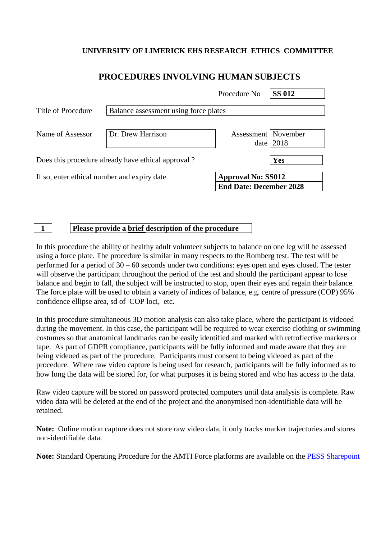## **UNIVERSITY OF LIMERICK EHS RESEARCH ETHICS COMMITTEE**

## **PROCEDURES INVOLVING HUMAN SUBJECTS**

|                                                    |                                       | Procedure No                                                | <b>SS 012</b> |
|----------------------------------------------------|---------------------------------------|-------------------------------------------------------------|---------------|
| Title of Procedure                                 | Balance assessment using force plates |                                                             |               |
| Name of Assessor                                   | Dr. Drew Harrison                     | Assessment   November<br>date                               | 2018          |
| Does this procedure already have ethical approval? |                                       |                                                             | Yes           |
| If so, enter ethical number and expiry date        |                                       | <b>Approval No: SS012</b><br><b>End Date: December 2028</b> |               |

**1 Please provide a brief description of the procedure**

In this procedure the ability of healthy adult volunteer subjects to balance on one leg will be assessed using a force plate. The procedure is similar in many respects to the Romberg test. The test will be performed for a period of 30 – 60 seconds under two conditions: eyes open and eyes closed. The tester will observe the participant throughout the period of the test and should the participant appear to lose balance and begin to fall, the subject will be instructed to stop, open their eyes and regain their balance. The force plate will be used to obtain a variety of indices of balance, e.g. centre of pressure (COP) 95% confidence ellipse area, sd of COP loci, etc.

In this procedure simultaneous 3D motion analysis can also take place, where the participant is videoed during the movement. In this case, the participant will be required to wear exercise clothing or swimming costumes so that anatomical landmarks can be easily identified and marked with retroflective markers or tape. As part of GDPR compliance, participants will be fully informed and made aware that they are being videoed as part of the procedure. Participants must consent to being videoed as part of the procedure. Where raw video capture is being used for research, participants will be fully informed as to how long the data will be stored for, for what purposes it is being stored and who has access to the data.

Raw video capture will be stored on password protected computers until data analysis is complete. Raw video data will be deleted at the end of the project and the anonymised non-identifiable data will be retained.

**Note:** Online motion capture does not store raw video data, it only tracks marker trajectories and stores non-identifiable data.

**Note:** Standard Operating Procedure for the AMTI Force platforms are available on the [PESS Sharepoint](https://sharepoint.ul.ie/SiteDirectory/PESS/Health%20and%20Safety1/Standard%20Operating%20Procedures%20(SOPs)/Biomechanics%20Lab%20SOPs/AMTI%20force%20platforms_SOP%20v5.pdf)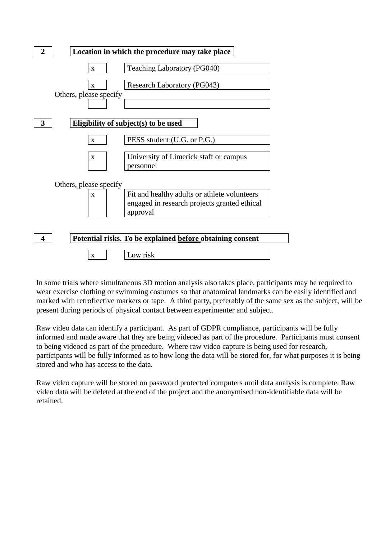

In some trials where simultaneous 3D motion analysis also takes place, participants may be required to wear exercise clothing or swimming costumes so that anatomical landmarks can be easily identified and marked with retroflective markers or tape. A third party, preferably of the same sex as the subject, will be present during periods of physical contact between experimenter and subject.

Raw video data can identify a participant. As part of GDPR compliance, participants will be fully informed and made aware that they are being videoed as part of the procedure. Participants must consent to being videoed as part of the procedure. Where raw video capture is being used for research, participants will be fully informed as to how long the data will be stored for, for what purposes it is being stored and who has access to the data.

Raw video capture will be stored on password protected computers until data analysis is complete. Raw video data will be deleted at the end of the project and the anonymised non-identifiable data will be retained.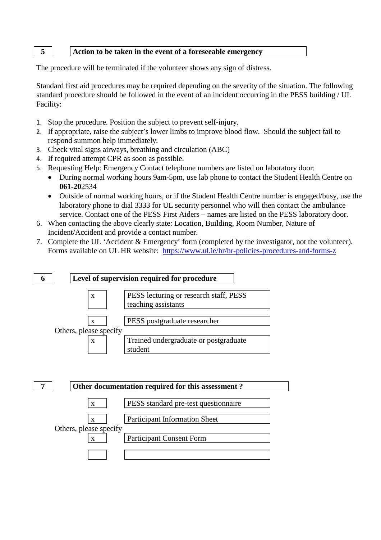## **5 Action to be taken in the event of a foreseeable emergency**

The procedure will be terminated if the volunteer shows any sign of distress.

Standard first aid procedures may be required depending on the severity of the situation. The following standard procedure should be followed in the event of an incident occurring in the PESS building / UL Facility:

- 1. Stop the procedure. Position the subject to prevent self-injury.
- 2. If appropriate, raise the subject's lower limbs to improve blood flow. Should the subject fail to respond summon help immediately.
- 3. Check vital signs airways, breathing and circulation (ABC)
- 4. If required attempt CPR as soon as possible.
- 5. Requesting Help: Emergency Contact telephone numbers are listed on laboratory door:
	- During normal working hours 9am-5pm, use lab phone to contact the Student Health Centre on **061-20**2534
	- Outside of normal working hours, or if the Student Health Centre number is engaged/busy, use the laboratory phone to dial 3333 for UL security personnel who will then contact the ambulance service. Contact one of the PESS First Aiders – names are listed on the PESS laboratory door.
- 6. When contacting the above clearly state: Location, Building, Room Number, Nature of Incident/Accident and provide a contact number.
- 7. Complete the UL 'Accident & Emergency' form (completed by the investigator, not the volunteer). Forms available on UL HR website: <https://www.ul.ie/hr/hr-policies-procedures-and-forms-z>